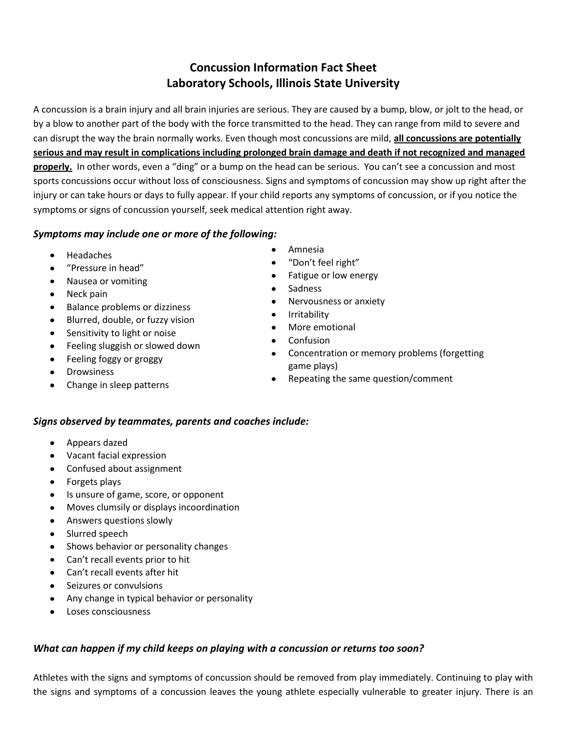# **Concussion Information Fact Sheet Laboratory Schools, Illinois State University**

A concussion is a brain injury and all brain injuries are serious. They are caused by a bump, blow, or jolt to the head, or by a blow to another part of the body with the force transmitted to the head. They can range from mild to severe and can disrupt the way the brain normally works. Even though most concussions are mild, **all concussions are potentially serious and may result in complications including prolonged brain damage and death if not recognized and managed properly.** In other words, even a "ding" or a bump on the head can be serious. You can't see a concussion and most sports concussions occur without loss of consciousness. Signs and symptoms of concussion may show up right after the injury or can take hours or days to fully appear. If your child reports any symptoms of concussion, or if you notice the symptoms or signs of concussion yourself, seek medical attention right away.

## *Symptoms may include one or more of the following:*

- Headaches
- "Pressure in head"
- Nausea or vomiting
- Neck pain
- Balance problems or dizziness
- Blurred, double, or fuzzy vision
- Sensitivity to light or noise
- Feeling sluggish or slowed down
- Feeling foggy or groggy
- Drowsiness
- Change in sleep patterns
- Amnesia  $\bullet$
- "Don't feel right"
- Fatigue or low energy
- Sadness
- Nervousness or anxiety  $\bullet$
- $\bullet$ Irritability
- More emotional
- **Confusion**
- Concentration or memory problems (forgetting  $\bullet$ game plays)
- Repeating the same question/comment

#### *Signs observed by teammates, parents and coaches include:*

- Appears dazed
- Vacant facial expression  $\bullet$
- Confused about assignment
- Forgets plays
- Is unsure of game, score, or opponent
- Moves clumsily or displays incoordination
- Answers questions slowly
- Slurred speech
- Shows behavior or personality changes
- Can't recall events prior to hit
- Can't recall events after hit
- Seizures or convulsions
- Any change in typical behavior or personality
- Loses consciousness

## *What can happen if my child keeps on playing with a concussion or returns too soon?*

Athletes with the signs and symptoms of concussion should be removed from play immediately. Continuing to play with the signs and symptoms of a concussion leaves the young athlete especially vulnerable to greater injury. There is an

 $\bullet$  $\bullet$